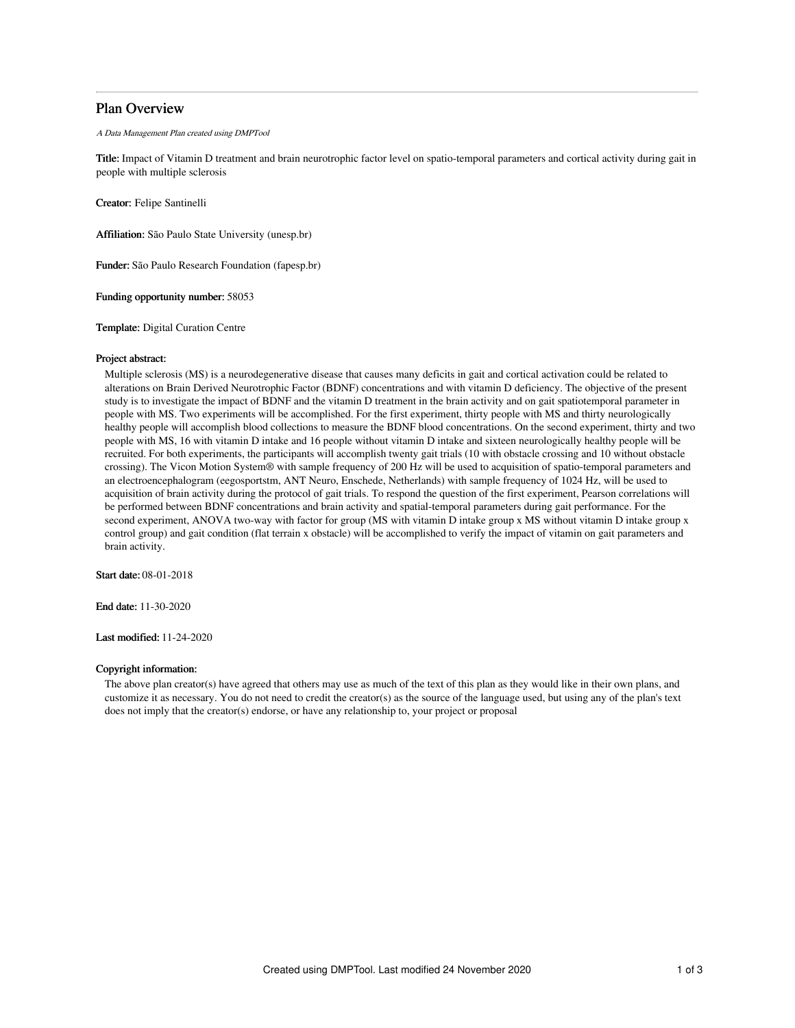# Plan Overview

A Data Management Plan created using DMPTool

Title: Impact of Vitamin D treatment and brain neurotrophic factor level on spatio-temporal parameters and cortical activity during gait in people with multiple sclerosis

Creator: Felipe Santinelli

Affiliation: São Paulo State University (unesp.br)

Funder: São Paulo Research Foundation (fapesp.br)

Funding opportunity number: 58053

Template: Digital Curation Centre

### Project abstract:

Multiple sclerosis (MS) is a neurodegenerative disease that causes many deficits in gait and cortical activation could be related to alterations on Brain Derived Neurotrophic Factor (BDNF) concentrations and with vitamin D deficiency. The objective of the present study is to investigate the impact of BDNF and the vitamin D treatment in the brain activity and on gait spatiotemporal parameter in people with MS. Two experiments will be accomplished. For the first experiment, thirty people with MS and thirty neurologically healthy people will accomplish blood collections to measure the BDNF blood concentrations. On the second experiment, thirty and two people with MS, 16 with vitamin D intake and 16 people without vitamin D intake and sixteen neurologically healthy people will be recruited. For both experiments, the participants will accomplish twenty gait trials (10 with obstacle crossing and 10 without obstacle crossing). The Vicon Motion System® with sample frequency of 200 Hz will be used to acquisition of spatio-temporal parameters and an electroencephalogram (eegosportstm, ANT Neuro, Enschede, Netherlands) with sample frequency of 1024 Hz, will be used to acquisition of brain activity during the protocol of gait trials. To respond the question of the first experiment, Pearson correlations will be performed between BDNF concentrations and brain activity and spatial-temporal parameters during gait performance. For the second experiment, ANOVA two-way with factor for group (MS with vitamin D intake group x MS without vitamin D intake group x control group) and gait condition (flat terrain x obstacle) will be accomplished to verify the impact of vitamin on gait parameters and brain activity.

Start date: 08-01-2018

End date: 11-30-2020

Last modified: 11-24-2020

# Copyright information:

The above plan creator(s) have agreed that others may use as much of the text of this plan as they would like in their own plans, and customize it as necessary. You do not need to credit the creator(s) as the source of the language used, but using any of the plan's text does not imply that the creator(s) endorse, or have any relationship to, your project or proposal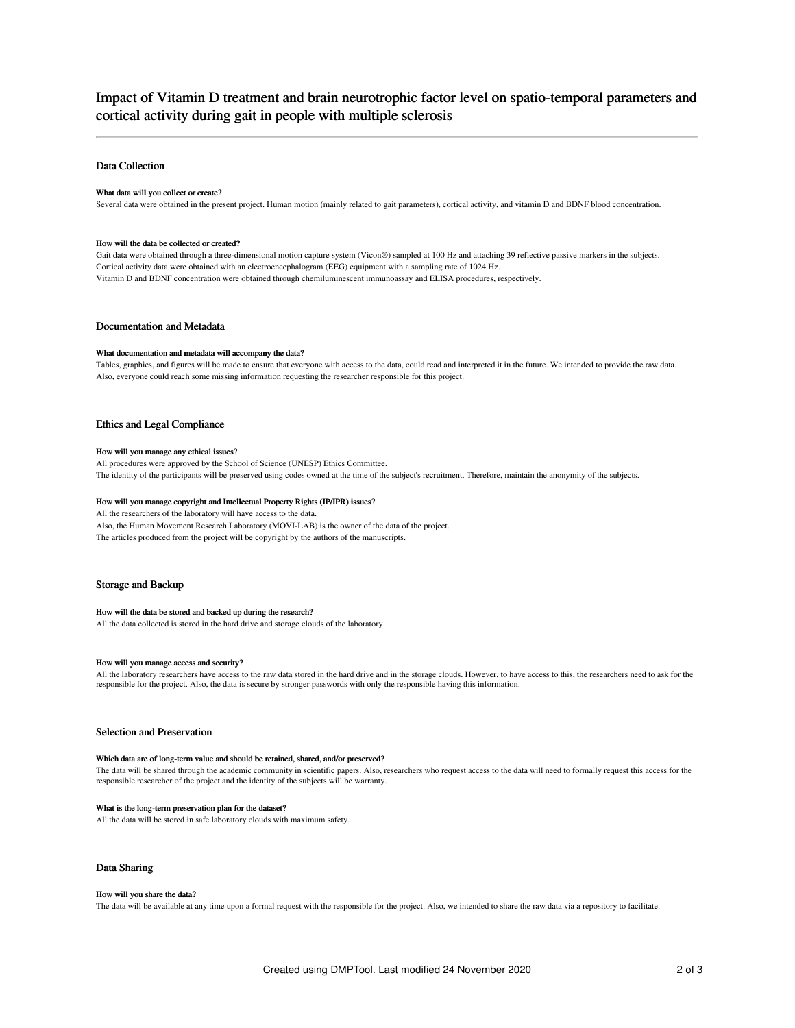# Impact of Vitamin D treatment and brain neurotrophic factor level on spatio-temporal parameters and cortical activity during gait in people with multiple sclerosis

## Data Collection

### What data will you collect or create?

Several data were obtained in the present project. Human motion (mainly related to gait parameters), cortical activity, and vitamin D and BDNF blood concentration.

#### How will the data be collected or created?

Gait data were obtained through a three-dimensional motion capture system (Vicon®) sampled at 100 Hz and attaching 39 reflective passive markers in the subjects. Cortical activity data were obtained with an electroencephalogram (EEG) equipment with a sampling rate of 1024 Hz. Vitamin D and BDNF concentration were obtained through chemiluminescent immunoassay and ELISA procedures, respectively.

### Documentation and Metadata

#### What documentation and metadata will accompany the data?

Tables, graphics, and figures will be made to ensure that everyone with access to the data, could read and interpreted it in the future. We intended to provide the raw data. Also, everyone could reach some missing information requesting the researcher responsible for this project.

### Ethics and Legal Compliance

#### How will you manage any ethical issues?

All procedures were approved by the School of Science (UNESP) Ethics Committee.

The identity of the participants will be preserved using codes owned at the time of the subject's recruitment. Therefore, maintain the anonymity of the subjects.

#### How will you manage copyright and Intellectual Property Rights (IP/IPR) issues?

All the researchers of the laboratory will have access to the data.

Also, the Human Movement Research Laboratory (MOVI-LAB) is the owner of the data of the project. The articles produced from the project will be copyright by the authors of the manuscripts.

# Storage and Backup

#### How will the data be stored and backed up during the research?

All the data collected is stored in the hard drive and storage clouds of the laboratory.

# How will you manage access and security?

All the laboratory researchers have access to the raw data stored in the hard drive and in the storage clouds. However, to have access to this, the researchers need to ask for the responsible for the project. Also, the data is secure by stronger passwords with only the responsible having this information.

### Selection and Preservation

### Which data are of long-term value and should be retained, shared, and/or preserved?

The data will be shared through the academic community in scientific papers. Also, researchers who request access to the data will need to formally request this access for the responsible researcher of the project and the identity of the subjects will be warranty.

### What is the long-term preservation plan for the dataset?

All the data will be stored in safe laboratory clouds with maximum safety.

## Data Sharing

#### How will you share the data?

The data will be available at any time upon a formal request with the responsible for the project. Also, we intended to share the raw data via a repository to facilitate.